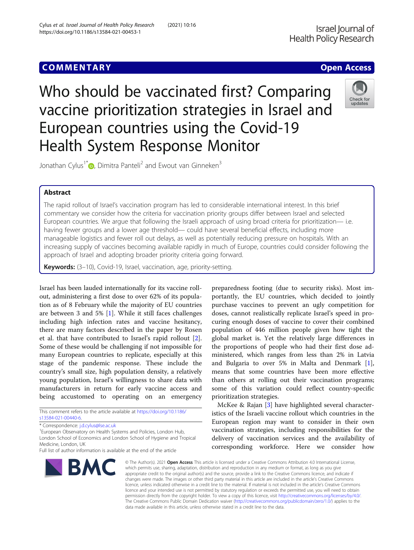# **COMMENTARY COMMENTARY Open Access**

Check for updates

Who should be vaccinated first? Comparing vaccine prioritization strategies in Israel and European countries using the Covid-19 Health System Response Monitor

Jonathan Cylus<sup>1\*</sup> <sub>(b</sub>[,](http://orcid.org/0000-0001-8269-1578) Dimitra Panteli<sup>2</sup> and Ewout van Ginneken<sup>3</sup>

## Abstract

The rapid rollout of Israel's vaccination program has led to considerable international interest. In this brief commentary we consider how the criteria for vaccination priority groups differ between Israel and selected European countries. We argue that following the Israeli approach of using broad criteria for prioritization— i.e. having fewer groups and a lower age threshold— could have several beneficial effects, including more manageable logistics and fewer roll out delays, as well as potentially reducing pressure on hospitals. With an increasing supply of vaccines becoming available rapidly in much of Europe, countries could consider following the approach of Israel and adopting broader priority criteria going forward.

Keywords: (3-10), Covid-19, Israel, vaccination, age, priority-setting.

Israel has been lauded internationally for its vaccine rollout, administering a first dose to over 62% of its population as of 8 February while the majority of EU countries are between 3 and 5% [[1\]](#page-2-0). While it still faces challenges including high infection rates and vaccine hesitancy, there are many factors described in the paper by Rosen et al. that have contributed to Israel's rapid rollout [\[2](#page-2-0)]. Some of these would be challenging if not impossible for many European countries to replicate, especially at this stage of the pandemic response. These include the country's small size, high population density, a relatively young population, Israel's willingness to share data with manufacturers in return for early vaccine access and being accustomed to operating on an emergency

This comment refers to the article available at [https://doi.org/10.1186/](https://doi.org/10.1186/s13584-021-00440-6) [s13584-021-00440-6](https://doi.org/10.1186/s13584-021-00440-6).

<sup>1</sup> European Observatory on Health Systems and Policies, London Hub, London School of Economics and London School of Hygiene and Tropical Medicine, London, UK

Full list of author information is available at the end of the article



preparedness footing (due to security risks). Most importantly, the EU countries, which decided to jointly purchase vaccines to prevent an ugly competition for doses, cannot realistically replicate Israel's speed in procuring enough doses of vaccine to cover their combined population of 446 million people given how tight the global market is. Yet the relatively large differences in the proportions of people who had their first dose administered, which ranges from less than 2% in Latvia and Bulgaria to over 5% in Malta and Denmark [\[1](#page-2-0)], means that some countries have been more effective than others at rolling out their vaccination programs; some of this variation could reflect country-specific prioritization strategies.

McKee & Rajan [\[3](#page-2-0)] have highlighted several characteristics of the Israeli vaccine rollout which countries in the European region may want to consider in their own vaccination strategies, including responsibilities for the delivery of vaccination services and the availability of corresponding workforce. Here we consider how

© The Author(s), 2021 **Open Access** This article is licensed under a Creative Commons Attribution 4.0 International License, which permits use, sharing, adaptation, distribution and reproduction in any medium or format, as long as you give appropriate credit to the original author(s) and the source, provide a link to the Creative Commons licence, and indicate if changes were made. The images or other third party material in this article are included in the article's Creative Commons licence, unless indicated otherwise in a credit line to the material. If material is not included in the article's Creative Commons licence and your intended use is not permitted by statutory regulation or exceeds the permitted use, you will need to obtain permission directly from the copyright holder. To view a copy of this licence, visit [http://creativecommons.org/licenses/by/4.0/.](http://creativecommons.org/licenses/by/4.0/) The Creative Commons Public Domain Dedication waiver [\(http://creativecommons.org/publicdomain/zero/1.0/](http://creativecommons.org/publicdomain/zero/1.0/)) applies to the data made available in this article, unless otherwise stated in a credit line to the data.

<sup>\*</sup> Correspondence: [j.d.cylus@lse.ac.uk](mailto:j.d.cylus@lse.ac.uk) <sup>1</sup>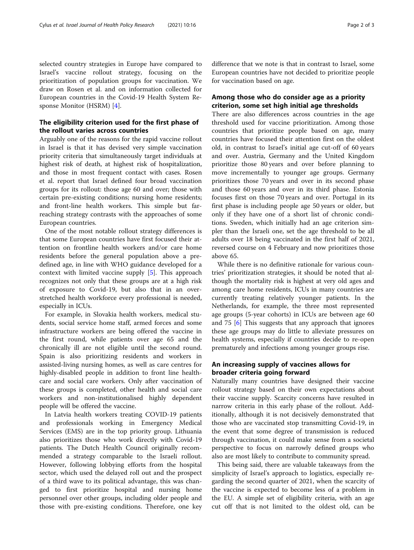selected country strategies in Europe have compared to Israel's vaccine rollout strategy, focusing on the prioritization of population groups for vaccination. We draw on Rosen et al. and on information collected for European countries in the Covid-19 Health System Response Monitor (HSRM) [[4\]](#page-2-0).

## The eligibility criterion used for the first phase of the rollout varies across countries

Arguably one of the reasons for the rapid vaccine rollout in Israel is that it has devised very simple vaccination priority criteria that simultaneously target individuals at highest risk of death, at highest risk of hospitalization, and those in most frequent contact with cases. Rosen et al. report that Israel defined four broad vaccination groups for its rollout: those age 60 and over; those with certain pre-existing conditions; nursing home residents; and front-line health workers. This simple but farreaching strategy contrasts with the approaches of some European countries.

One of the most notable rollout strategy differences is that some European countries have first focused their attention on frontline health workers and/or care home residents before the general population above a predefined age, in line with WHO guidance developed for a context with limited vaccine supply [[5](#page-2-0)]. This approach recognizes not only that these groups are at a high risk of exposure to Covid-19, but also that in an overstretched health workforce every professional is needed, especially in ICUs.

For example, in Slovakia health workers, medical students, social service home staff, armed forces and some infrastructure workers are being offered the vaccine in the first round, while patients over age 65 and the chronically ill are not eligible until the second round. Spain is also prioritizing residents and workers in assisted-living nursing homes, as well as care centres for highly-disabled people in addition to front line healthcare and social care workers. Only after vaccination of these groups is completed, other health and social care workers and non-institutionalised highly dependent people will be offered the vaccine.

In Latvia health workers treating COVID-19 patients and professionals working in Emergency Medical Services (EMS) are in the top priority group. Lithuania also prioritizes those who work directly with Covid-19 patients. The Dutch Health Council originally recommended a strategy comparable to the Israeli rollout. However, following lobbying efforts from the hospital sector, which used the delayed roll out and the prospect of a third wave to its political advantage, this was changed to first prioritize hospital and nursing home personnel over other groups, including older people and those with pre-existing conditions. Therefore, one key

difference that we note is that in contrast to Israel, some European countries have not decided to prioritize people for vaccination based on age.

## Among those who do consider age as a priority criterion, some set high initial age thresholds

There are also differences across countries in the age threshold used for vaccine prioritization. Among those countries that prioritize people based on age, many countries have focused their attention first on the oldest old, in contrast to Israel's initial age cut-off of 60 years and over. Austria, Germany and the United Kingdom prioritize those 80 years and over before planning to move incrementally to younger age groups. Germany prioritizes those 70 years and over in its second phase and those 60 years and over in its third phase. Estonia focuses first on those 70 years and over. Portugal in its first phase is including people age 50 years or older, but only if they have one of a short list of chronic conditions. Sweden, which initially had an age criterion simpler than the Israeli one, set the age threshold to be all adults over 18 being vaccinated in the first half of 2021, reversed course on 4 February and now prioritizes those above 65.

While there is no definitive rationale for various countries' prioritization strategies, it should be noted that although the mortality risk is highest at very old ages and among care home residents, ICUs in many countries are currently treating relatively younger patients. In the Netherlands, for example, the three most represented age groups (5-year cohorts) in ICUs are between age 60 and 75 [[6\]](#page-2-0) This suggests that any approach that ignores these age groups may do little to alleviate pressures on health systems, especially if countries decide to re-open prematurely and infections among younger groups rise.

## An increasing supply of vaccines allows for broader criteria going forward

Naturally many countries have designed their vaccine rollout strategy based on their own expectations about their vaccine supply. Scarcity concerns have resulted in narrow criteria in this early phase of the rollout. Additionally, although it is not decisively demonstrated that those who are vaccinated stop transmitting Covid-19, in the event that some degree of transmission is reduced through vaccination, it could make sense from a societal perspective to focus on narrowly defined groups who also are most likely to contribute to community spread.

This being said, there are valuable takeaways from the simplicity of Israel's approach to logistics, especially regarding the second quarter of 2021, when the scarcity of the vaccine is expected to become less of a problem in the EU. A simple set of eligibility criteria, with an age cut off that is not limited to the oldest old, can be